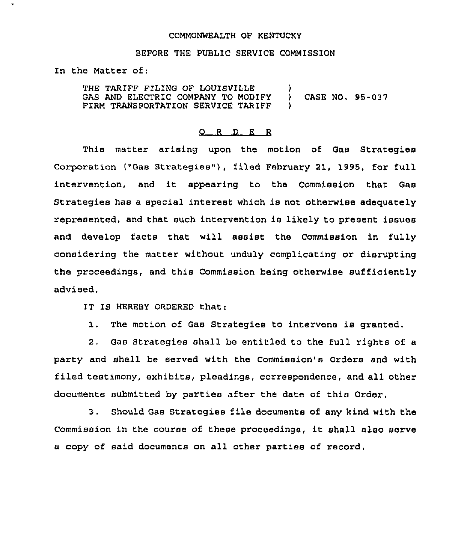## COMMONWEALTH OF KENTUCKY

## BEFORE THE PUBL1C SERVICE COMMISSION

In the Matter of:

THE TARIFF FILING OF LOUISVILLE )<br>GAS AND ELECTRIC COMPANY TO MODIFY ) GAS AND ELECTRIC COMPANY TO MODIFY ) CASE NO. 95-037<br>FIRM TRANSPORTATION SERVICE TARIFF ) FIRM TRANSPORTATION SERVICE TARIFF

## 0 <sup>R</sup> <sup>D</sup> E <sup>R</sup>

This matter arising upon the motion of Gas Strategies Corporation ("Gas Strategies"), filed Febxuaxy 21, 1995, for full intervention, and it appearing to the Commission that Gas Strategies has a special interest which is not otherwise adequately represented, and that such intervention is likely to present issues and develop facts that will assist the Commission in fully considering the matter without unduly complicating or disrupting the proceedings, and this Commission heing otherwise sufficiently advised,

IT IS HEREBY ORDERED that:

1. The motion of Gas Strategies to intervene is granted.

2, Gas Strategies shall be entitled to the full rights of a party and shall be served with the Commission's Orders and with filed testimony, exhibits, pleadings, correspondence, and all other documents submitted by parties after the date of this Order.

3. Should Gas Strategies file documents of any kind with the Commission in the couxse of these pxoceedings, it shall also serve a copy of said documents on all other parties of record.